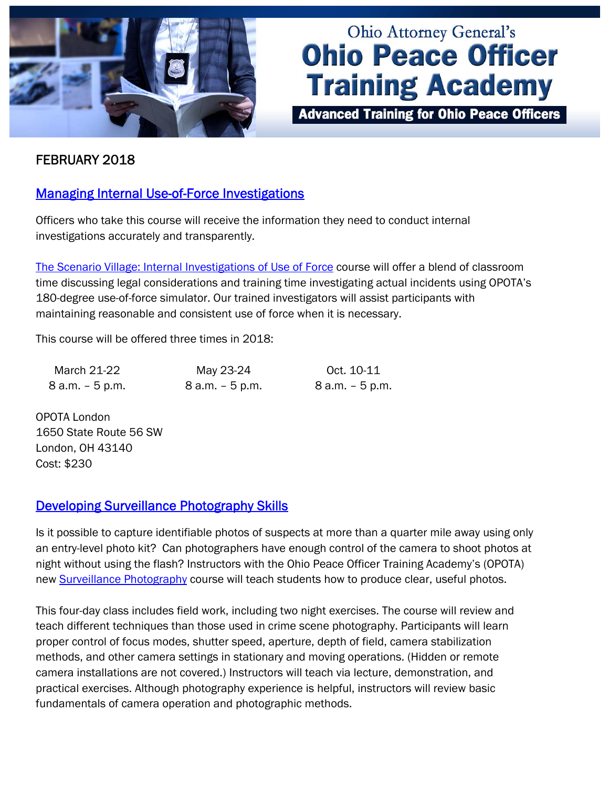

# **Ohio Attorney General's Ohio Peace Officer Training Academy**

**Advanced Training for Ohio Peace Officers** 

## FEBRUARY 2018

## [Managing Internal Use-of-Force Investigations](http://www.ohioattorneygeneral.gov/Media/Newsletters/Ohio-Peace-Officer-Training-Academy-email-newslett/February-2018/Managing-Internal-Use-of-Force-Investigations)

Officers who take this course will receive the information they need to conduct internal investigations accurately and transparently.

[The Scenario Village: Internal Investigations of Use of Force](http://www.ohioattorneygeneral.gov/Law-Enforcement/Ohio-Peace-Officer-Training-Academy/Course-Catalog/Course-Search.aspx?searchtext=scenario+village%3a+internal+investigating&searchmode=exactphrase) course will offer a blend of classroom time discussing legal considerations and training time investigating actual incidents using OPOTA's 180-degree use-of-force simulator. Our trained investigators will assist participants with maintaining reasonable and consistent use of force when it is necessary.

This course will be offered three times in 2018:

| March 21-22     | May 23-24          | Oct. 10-11         |
|-----------------|--------------------|--------------------|
| 8 a.m. – 5 p.m. | $8$ a.m. $-5$ p.m. | $8$ a.m. $-5$ p.m. |

OPOTA London 1650 State Route 56 SW London, OH 43140 Cost: \$230

#### [Developing Surveillance Photography Skills](http://www.ohioattorneygeneral.gov/Media/Newsletters/Ohio-Peace-Officer-Training-Academy-email-newslett/February-2018/Developing-Surveillance-Photography-Skills)

Is it possible to capture identifiable photos of suspects at more than a quarter mile away using only an entry-level photo kit? Can photographers have enough control of the camera to shoot photos at night without using the flash? Instructors with the Ohio Peace Officer Training Academy's (OPOTA) new [Surveillance Photography](http://www.ohioattorneygeneral.gov/Law-Enforcement/Ohio-Peace-Officer-Training-Academy/Course-Catalog/Course-Search.aspx?searchtext=Surveillance+Photography&searchmode=exactphrase) course will teach students how to produce clear, useful photos.

This four-day class includes field work, including two night exercises. The course will review and teach different techniques than those used in crime scene photography. Participants will learn proper control of focus modes, shutter speed, aperture, depth of field, camera stabilization methods, and other camera settings in stationary and moving operations. (Hidden or remote camera installations are not covered.) Instructors will teach via lecture, demonstration, and practical exercises. Although photography experience is helpful, instructors will review basic fundamentals of camera operation and photographic methods.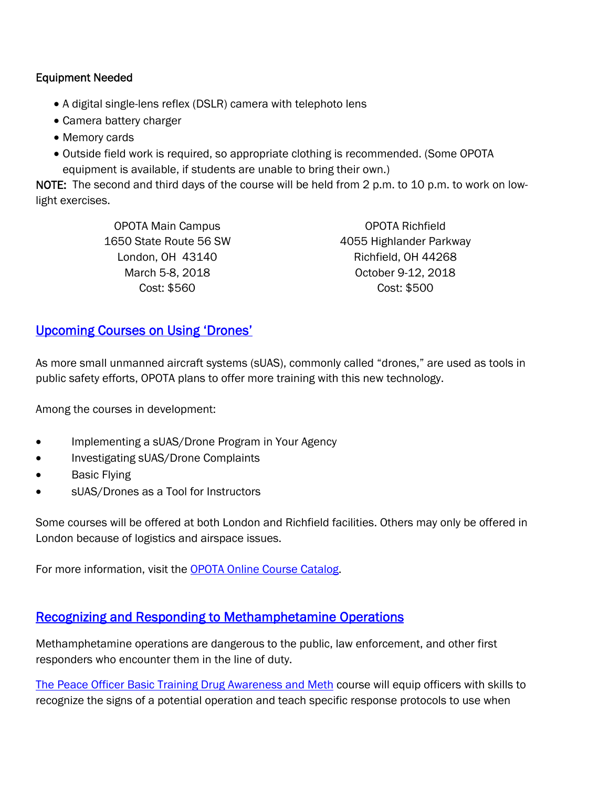#### Equipment Needed

- A digital single-lens reflex (DSLR) camera with telephoto lens
- Camera battery charger
- Memory cards
- Outside field work is required, so appropriate clothing is recommended. (Some OPOTA equipment is available, if students are unable to bring their own.)

NOTE: The second and third days of the course will be held from 2 p.m. to 10 p.m. to work on lowlight exercises.

> OPOTA Main Campus 1650 State Route 56 SW London, OH 43140 March 5-8, 2018 Cost: \$560

OPOTA Richfield 4055 Highlander Parkway Richfield, OH 44268 October 9-12, 2018 Cost: \$500

## [Upcoming Courses on Using 'Drones'](http://www.ohioattorneygeneral.gov/Media/Newsletters/Ohio-Peace-Officer-Training-Academy-email-newslett/February-2018/Upcoming-Courses-on-Using-%E2%80%98Drones%E2%80%99)

As more small unmanned aircraft systems (sUAS), commonly called "drones," are used as tools in public safety efforts, OPOTA plans to offer more training with this new technology.

Among the courses in development:

- Implementing a sUAS/Drone Program in Your Agency
- Investigating sUAS/Drone Complaints
- **Basic Flying**
- sUAS/Drones as a Tool for Instructors

Some courses will be offered at both London and Richfield facilities. Others may only be offered in London because of logistics and airspace issues.

For more information, visit the [OPOTA Online Course Catalog.](http://www.ohioattorneygeneral.gov/Law-Enforcement/Ohio-Peace-Officer-Training-Academy/Course-Catalog/Course-Search.aspx?searchtext=POBT+Drug+Awareness+and+Meth&searchmode=exactphrase) 

## [Recognizing and Responding to Methamphetamine Operations](http://www.ohioattorneygeneral.gov/Media/Newsletters/Ohio-Peace-Officer-Training-Academy-email-newslett/February-2018/Recognizing-and-Responding-to-Methamphetamine-Oper)

Methamphetamine operations are dangerous to the public, law enforcement, and other first responders who encounter them in the line of duty.

[The Peace Officer Basic Training Drug Awareness and Meth](http://www.ohioattorneygeneral.gov/Law-Enforcement/Ohio-Peace-Officer-Training-Academy/Course-Catalog/Course-Search.aspx?searchtext=POBT+Drug+Awareness+and+Meth&searchmode=exactphrase) course will equip officers with skills to recognize the signs of a potential operation and teach specific response protocols to use when